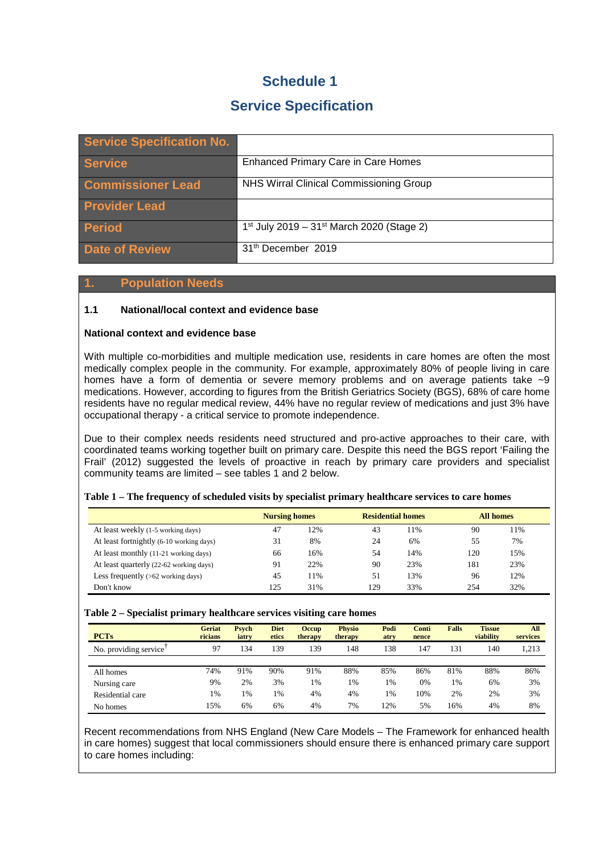# **Schedule 1**

# **Service Specification**

| <b>Service Specification No.</b> |                                                                   |
|----------------------------------|-------------------------------------------------------------------|
| <b>Service</b>                   | <b>Enhanced Primary Care in Care Homes</b>                        |
| <b>Commissioner Lead</b>         | NHS Wirral Clinical Commissioning Group                           |
| <b>Provider Lead</b>             |                                                                   |
| <b>Period</b>                    | 1 <sup>st</sup> July 2019 - 31 <sup>st</sup> March 2020 (Stage 2) |
| Date of Review                   | 31 <sup>th</sup> December 2019                                    |

## **1. Population Needs**

## **1.1 National/local context and evidence base**

## **National context and evidence base**

With multiple co-morbidities and multiple medication use, residents in care homes are often the most medically complex people in the community. For example, approximately 80% of people living in care homes have a form of dementia or severe memory problems and on average patients take ~9 medications. However, according to figures from the British Geriatrics Society (BGS), 68% of care home residents have no regular medical review, 44% have no regular review of medications and just 3% have occupational therapy - a critical service to promote independence.

Due to their complex needs residents need structured and pro-active approaches to their care, with coordinated teams working together built on primary care. Despite this need the BGS report 'Failing the Frail' (2012) suggested the levels of proactive in reach by primary care providers and specialist community teams are limited – see tables 1 and 2 below.

|                                          | <b>Nursing homes</b> |     | <b>Residential homes</b> |     | All homes |     |  |
|------------------------------------------|----------------------|-----|--------------------------|-----|-----------|-----|--|
| At least weekly (1-5 working days)       | 47                   | 12% | 43                       | 11% | 90        | 11% |  |
| At least fortnightly (6-10 working days) | 31                   | 8%  | 24                       | 6%  | 55        | 7%  |  |
| At least monthly (11-21 working days)    | 66                   | 16% | 54                       | 14% | 120       | 15% |  |
| At least quarterly (22-62 working days)  | 91                   | 22% | 90                       | 23% | 181       | 23% |  |
| Less frequently $(>62$ working days)     | 45                   | 1%  | 51                       | 13% | 96        | 12% |  |
| Don't know                               | 125                  | 31% | 129                      | 33% | 254       | 32% |  |

#### **Table 1 – The frequency of scheduled visits by specialist primary healthcare services to care homes**

#### **Table 2 – Specialist primary healthcare services visiting care homes**

| <b>PCTs</b>           | <b>Geriat</b><br>ricians | <b>Psych</b><br>iatry | <b>Diet</b><br>etics | <b>Occup</b><br>therapy | <b>Physio</b><br>therapy | Podi<br>atry | Conti<br>nence | <b>Falls</b> | <b>Tissue</b><br>viability | A <sub>II</sub><br>services |
|-----------------------|--------------------------|-----------------------|----------------------|-------------------------|--------------------------|--------------|----------------|--------------|----------------------------|-----------------------------|
| No. providing service | 97                       | 134                   | 139                  | 139                     | 148                      | .38          | 147            | 131          | 140                        | 1,213                       |
|                       |                          |                       |                      |                         |                          |              |                |              |                            |                             |
| All homes             | 74%                      | 91%                   | 90%                  | 91%                     | 88%                      | 85%          | 86%            | 81%          | 88%                        | 86%                         |
| Nursing care          | 9%                       | 2%                    | 3%                   | 1%                      | 1%                       | 1%           | 0%             | 1%           | 6%                         | 3%                          |
| Residential care      | 1%                       | 1%                    | $1\%$                | 4%                      | 4%                       | 1%           | 10%            | 2%           | 2%                         | 3%                          |
| No homes              | 15%                      | 6%                    | 6%                   | 4%                      | 7%                       | .2%          | 5%             | 16%          | 4%                         | 8%                          |

Recent recommendations from NHS England (New Care Models – The Framework for enhanced health in care homes) suggest that local commissioners should ensure there is enhanced primary care support to care homes including: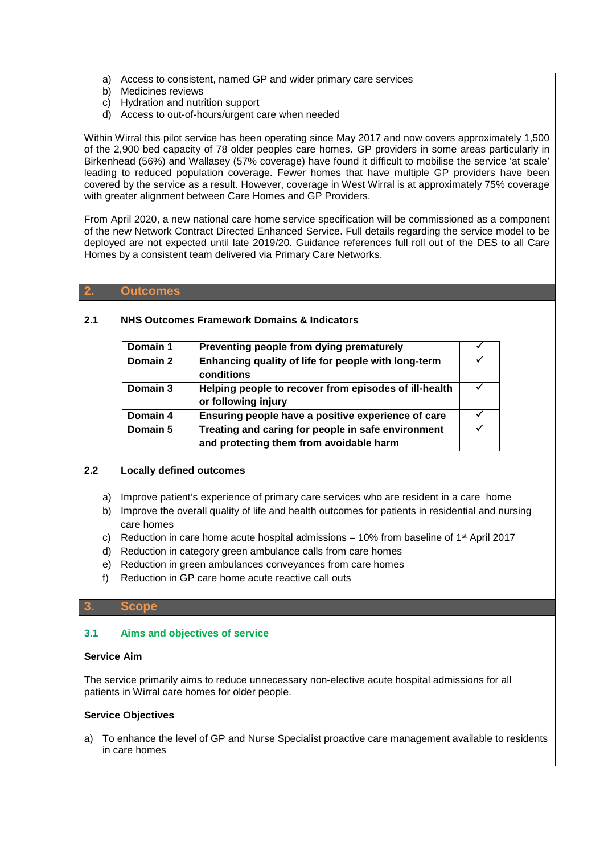- a) Access to consistent, named GP and wider primary care services
- b) Medicines reviews
- c) Hydration and nutrition support
- d) Access to out-of-hours/urgent care when needed

Within Wirral this pilot service has been operating since May 2017 and now covers approximately 1,500 of the 2,900 bed capacity of 78 older peoples care homes. GP providers in some areas particularly in Birkenhead (56%) and Wallasey (57% coverage) have found it difficult to mobilise the service 'at scale' leading to reduced population coverage. Fewer homes that have multiple GP providers have been covered by the service as a result. However, coverage in West Wirral is at approximately 75% coverage with greater alignment between Care Homes and GP Providers.

From April 2020, a new national care home service specification will be commissioned as a component of the new Network Contract Directed Enhanced Service. Full details regarding the service model to be deployed are not expected until late 2019/20. Guidance references full roll out of the DES to all Care Homes by a consistent team delivered via Primary Care Networks.

## **2. Outcomes**

## **2.1 NHS Outcomes Framework Domains & Indicators**

| Domain 1 | Preventing people from dying prematurely                                                      |  |
|----------|-----------------------------------------------------------------------------------------------|--|
| Domain 2 | Enhancing quality of life for people with long-term<br>conditions                             |  |
| Domain 3 | Helping people to recover from episodes of ill-health<br>or following injury                  |  |
| Domain 4 | Ensuring people have a positive experience of care                                            |  |
| Domain 5 | Treating and caring for people in safe environment<br>and protecting them from avoidable harm |  |

## **2.2 Locally defined outcomes**

- a) Improve patient's experience of primary care services who are resident in a care home
- b) Improve the overall quality of life and health outcomes for patients in residential and nursing care homes
- c) Reduction in care home acute hospital admissions  $-10\%$  from baseline of 1<sup>st</sup> April 2017
- d) Reduction in category green ambulance calls from care homes
- e) Reduction in green ambulances conveyances from care homes
- f) Reduction in GP care home acute reactive call outs

#### **3. Scope**

## **3.1 Aims and objectives of service**

#### **Service Aim**

The service primarily aims to reduce unnecessary non-elective acute hospital admissions for all patients in Wirral care homes for older people.

## **Service Objectives**

a) To enhance the level of GP and Nurse Specialist proactive care management available to residents in care homes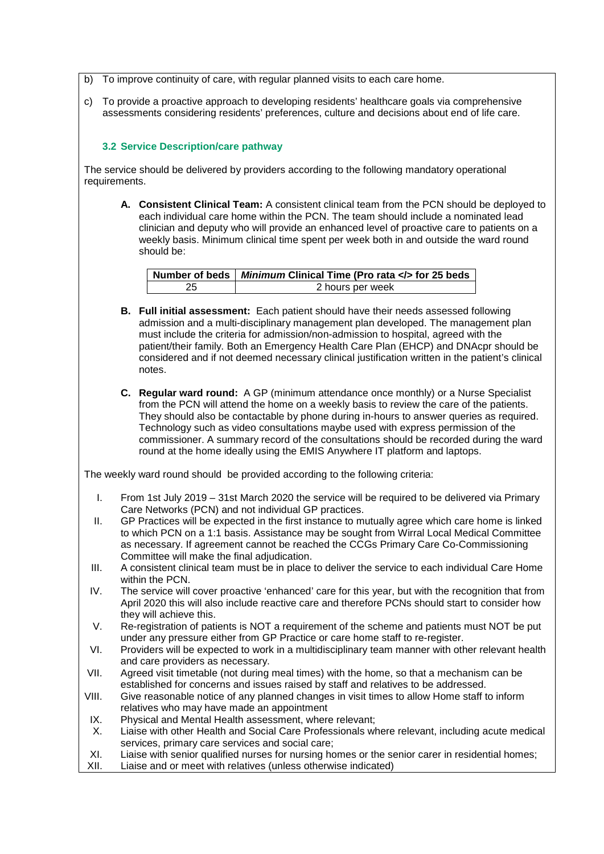- b) To improve continuity of care, with regular planned visits to each care home.
- c) To provide a proactive approach to developing residents' healthcare goals via comprehensive assessments considering residents' preferences, culture and decisions about end of life care.

## **3.2 Service Description/care pathway**

The service should be delivered by providers according to the following mandatory operational requirements.

**A. Consistent Clinical Team:** A consistent clinical team from the PCN should be deployed to each individual care home within the PCN. The team should include a nominated lead clinician and deputy who will provide an enhanced level of proactive care to patients on a weekly basis. Minimum clinical time spent per week both in and outside the ward round should be:

|    | Number of beds   Minimum Clinical Time (Pro rata  for 25 beds |
|----|---------------------------------------------------------------|
| 25 | 2 hours per week                                              |

- **B. Full initial assessment:** Each patient should have their needs assessed following admission and a multi-disciplinary management plan developed. The management plan must include the criteria for admission/non-admission to hospital, agreed with the patient/their family. Both an Emergency Health Care Plan (EHCP) and DNAcpr should be considered and if not deemed necessary clinical justification written in the patient's clinical notes.
- **C. Regular ward round:** A GP (minimum attendance once monthly) or a Nurse Specialist from the PCN will attend the home on a weekly basis to review the care of the patients. They should also be contactable by phone during in-hours to answer queries as required. Technology such as video consultations maybe used with express permission of the commissioner. A summary record of the consultations should be recorded during the ward round at the home ideally using the EMIS Anywhere IT platform and laptops.

The weekly ward round should be provided according to the following criteria:

- I. From 1st July 2019 31st March 2020 the service will be required to be delivered via Primary Care Networks (PCN) and not individual GP practices.
- II. GP Practices will be expected in the first instance to mutually agree which care home is linked to which PCN on a 1:1 basis. Assistance may be sought from Wirral Local Medical Committee as necessary. If agreement cannot be reached the CCGs Primary Care Co-Commissioning Committee will make the final adjudication.
- III. A consistent clinical team must be in place to deliver the service to each individual Care Home within the PCN.
- IV. The service will cover proactive 'enhanced' care for this year, but with the recognition that from April 2020 this will also include reactive care and therefore PCNs should start to consider how they will achieve this.
- V. Re-registration of patients is NOT a requirement of the scheme and patients must NOT be put under any pressure either from GP Practice or care home staff to re-register.
- VI. Providers will be expected to work in a multidisciplinary team manner with other relevant health and care providers as necessary.
- VII. Agreed visit timetable (not during meal times) with the home, so that a mechanism can be established for concerns and issues raised by staff and relatives to be addressed.
- VIII. Give reasonable notice of any planned changes in visit times to allow Home staff to inform relatives who may have made an appointment
- IX. Physical and Mental Health assessment, where relevant;
- X. Liaise with other Health and Social Care Professionals where relevant, including acute medical services, primary care services and social care;
- XI. Liaise with senior qualified nurses for nursing homes or the senior carer in residential homes;
- XII. Liaise and or meet with relatives (unless otherwise indicated)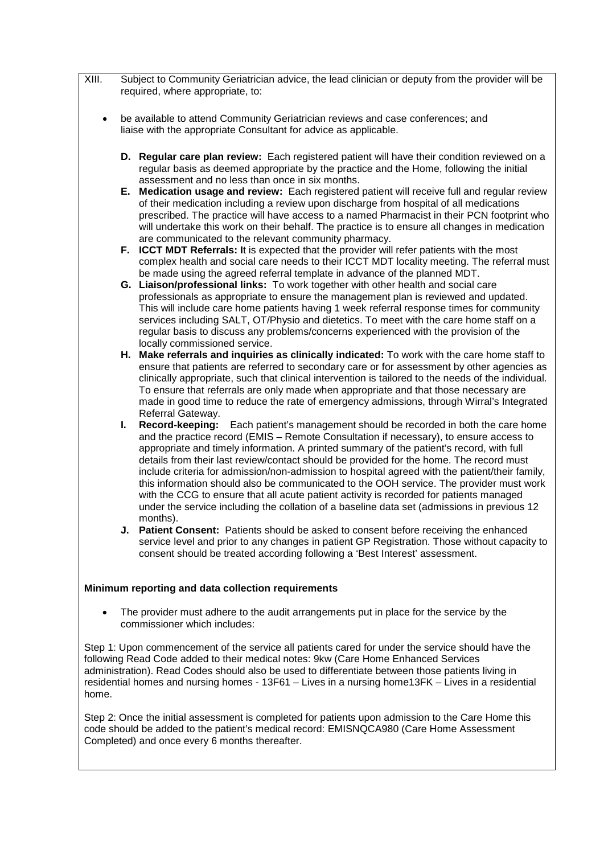| XIII.     | Subject to Community Geriatrician advice, the lead clinician or deputy from the provider will be<br>required, where appropriate, to:                                                                                                                                                                                                                                                                                                                                                                                                                                                                                                                                                                                                                                                     |  |
|-----------|------------------------------------------------------------------------------------------------------------------------------------------------------------------------------------------------------------------------------------------------------------------------------------------------------------------------------------------------------------------------------------------------------------------------------------------------------------------------------------------------------------------------------------------------------------------------------------------------------------------------------------------------------------------------------------------------------------------------------------------------------------------------------------------|--|
| $\bullet$ | be available to attend Community Geriatrician reviews and case conferences; and<br>liaise with the appropriate Consultant for advice as applicable.                                                                                                                                                                                                                                                                                                                                                                                                                                                                                                                                                                                                                                      |  |
|           | D. Regular care plan review: Each registered patient will have their condition reviewed on a<br>regular basis as deemed appropriate by the practice and the Home, following the initial<br>assessment and no less than once in six months.                                                                                                                                                                                                                                                                                                                                                                                                                                                                                                                                               |  |
|           | E. Medication usage and review: Each registered patient will receive full and regular review<br>of their medication including a review upon discharge from hospital of all medications<br>prescribed. The practice will have access to a named Pharmacist in their PCN footprint who<br>will undertake this work on their behalf. The practice is to ensure all changes in medication<br>are communicated to the relevant community pharmacy.                                                                                                                                                                                                                                                                                                                                            |  |
|           | F. ICCT MDT Referrals: It is expected that the provider will refer patients with the most<br>complex health and social care needs to their ICCT MDT locality meeting. The referral must<br>be made using the agreed referral template in advance of the planned MDT.                                                                                                                                                                                                                                                                                                                                                                                                                                                                                                                     |  |
|           | G. Liaison/professional links: To work together with other health and social care<br>professionals as appropriate to ensure the management plan is reviewed and updated.<br>This will include care home patients having 1 week referral response times for community<br>services including SALT, OT/Physio and dietetics. To meet with the care home staff on a<br>regular basis to discuss any problems/concerns experienced with the provision of the<br>locally commissioned service.                                                                                                                                                                                                                                                                                                 |  |
|           | H. Make referrals and inquiries as clinically indicated: To work with the care home staff to<br>ensure that patients are referred to secondary care or for assessment by other agencies as<br>clinically appropriate, such that clinical intervention is tailored to the needs of the individual.<br>To ensure that referrals are only made when appropriate and that those necessary are<br>made in good time to reduce the rate of emergency admissions, through Wirral's Integrated                                                                                                                                                                                                                                                                                                   |  |
|           | Referral Gateway.<br>Each patient's management should be recorded in both the care home<br>L.<br>Record-keeping:<br>and the practice record (EMIS - Remote Consultation if necessary), to ensure access to<br>appropriate and timely information. A printed summary of the patient's record, with full<br>details from their last review/contact should be provided for the home. The record must<br>include criteria for admission/non-admission to hospital agreed with the patient/their family,<br>this information should also be communicated to the OOH service. The provider must work<br>with the CCG to ensure that all acute patient activity is recorded for patients managed<br>under the service including the collation of a baseline data set (admissions in previous 12 |  |
|           | months).<br>J. Patient Consent: Patients should be asked to consent before receiving the enhanced<br>service level and prior to any changes in patient GP Registration. Those without capacity to<br>consent should be treated according following a 'Best Interest' assessment.                                                                                                                                                                                                                                                                                                                                                                                                                                                                                                         |  |
|           | Minimum reporting and data collection requirements                                                                                                                                                                                                                                                                                                                                                                                                                                                                                                                                                                                                                                                                                                                                       |  |
|           | The provider must adhere to the audit arrangements put in place for the service by the<br>commissioner which includes:                                                                                                                                                                                                                                                                                                                                                                                                                                                                                                                                                                                                                                                                   |  |
|           | Step 1: Upon commencement of the service all patients cared for under the service should have the<br>following Read Code added to their medical notes: 9kw (Care Home Enhanced Services<br>administration). Read Codes should also be used to differentiate between those patients living in                                                                                                                                                                                                                                                                                                                                                                                                                                                                                             |  |

Step 2: Once the initial assessment is completed for patients upon admission to the Care Home this code should be added to the patient's medical record: EMISNQCA980 (Care Home Assessment Completed) and once every 6 months thereafter.

residential homes and nursing homes - 13F61 – Lives in a nursing home13FK – Lives in a residential

home.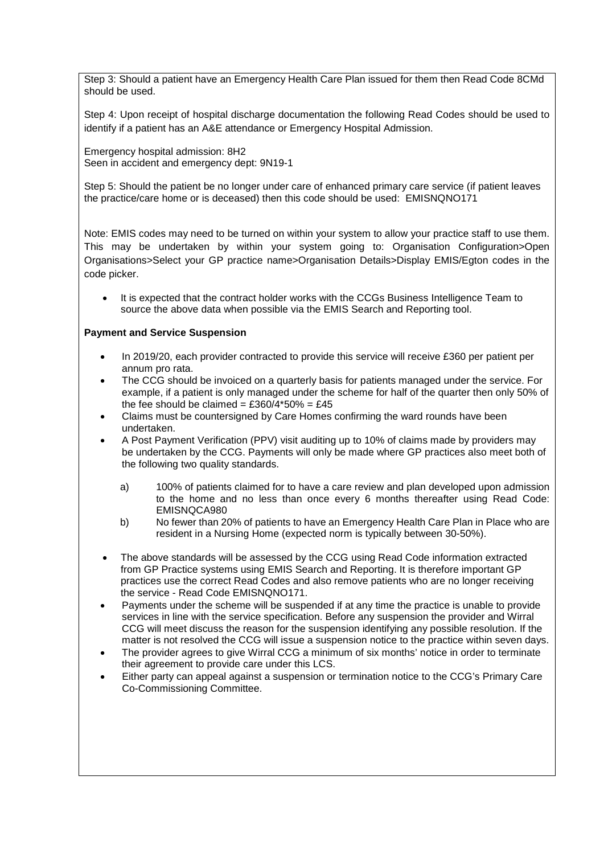Step 3: Should a patient have an Emergency Health Care Plan issued for them then Read Code 8CMd should be used.

Step 4: Upon receipt of hospital discharge documentation the following Read Codes should be used to identify if a patient has an A&E attendance or Emergency Hospital Admission.

Emergency hospital admission: 8H2 Seen in accident and emergency dept: 9N19-1

Step 5: Should the patient be no longer under care of enhanced primary care service (if patient leaves the practice/care home or is deceased) then this code should be used: EMISNQNO171

Note: EMIS codes may need to be turned on within your system to allow your practice staff to use them. This may be undertaken by within your system going to: Organisation Configuration>Open Organisations>Select your GP practice name>Organisation Details>Display EMIS/Egton codes in the code picker.

• It is expected that the contract holder works with the CCGs Business Intelligence Team to source the above data when possible via the EMIS Search and Reporting tool.

## **Payment and Service Suspension**

- In 2019/20, each provider contracted to provide this service will receive £360 per patient per annum pro rata.
- The CCG should be invoiced on a quarterly basis for patients managed under the service. For example, if a patient is only managed under the scheme for half of the quarter then only 50% of the fee should be claimed = £360/4\*50% = £45
- Claims must be countersigned by Care Homes confirming the ward rounds have been undertaken.
- A Post Payment Verification (PPV) visit auditing up to 10% of claims made by providers may be undertaken by the CCG. Payments will only be made where GP practices also meet both of the following two quality standards.
	- a) 100% of patients claimed for to have a care review and plan developed upon admission to the home and no less than once every 6 months thereafter using Read Code: EMISNQCA980
	- b) No fewer than 20% of patients to have an Emergency Health Care Plan in Place who are resident in a Nursing Home (expected norm is typically between 30-50%).
- The above standards will be assessed by the CCG using Read Code information extracted from GP Practice systems using EMIS Search and Reporting. It is therefore important GP practices use the correct Read Codes and also remove patients who are no longer receiving the service - Read Code EMISNQNO171.
- Payments under the scheme will be suspended if at any time the practice is unable to provide services in line with the service specification. Before any suspension the provider and Wirral CCG will meet discuss the reason for the suspension identifying any possible resolution. If the matter is not resolved the CCG will issue a suspension notice to the practice within seven days.
- The provider agrees to give Wirral CCG a minimum of six months' notice in order to terminate their agreement to provide care under this LCS.
- Either party can appeal against a suspension or termination notice to the CCG's Primary Care Co-Commissioning Committee.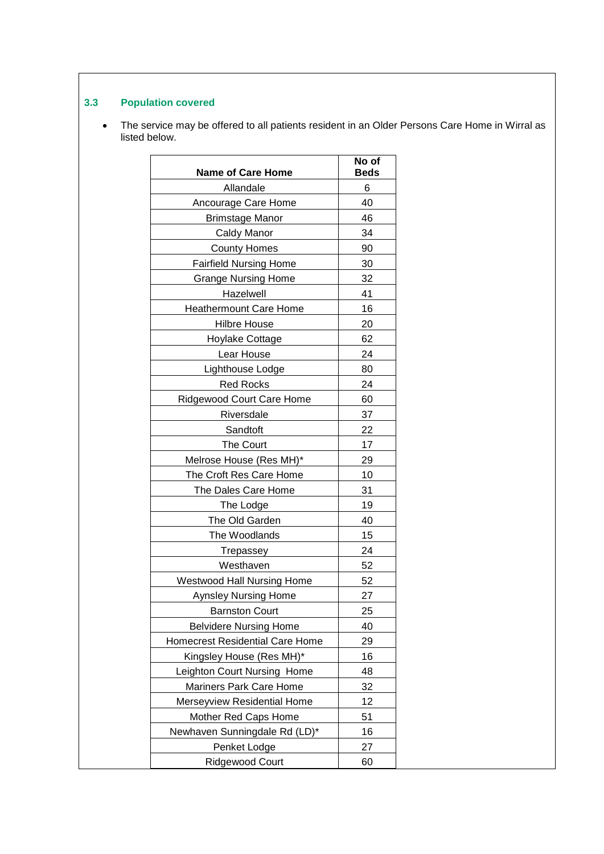## **3.3 Population covered**

• The service may be offered to all patients resident in an Older Persons Care Home in Wirral as listed below.

| <b>Name of Care Home</b>               | No of<br><b>Beds</b> |
|----------------------------------------|----------------------|
| Allandale                              | 6                    |
| Ancourage Care Home                    | 40                   |
| <b>Brimstage Manor</b>                 | 46                   |
| Caldy Manor                            | 34                   |
| <b>County Homes</b>                    | 90                   |
| <b>Fairfield Nursing Home</b>          | 30                   |
| <b>Grange Nursing Home</b>             | 32                   |
| Hazelwell                              | 41                   |
| <b>Heathermount Care Home</b>          | 16                   |
| <b>Hilbre House</b>                    | 20                   |
| Hoylake Cottage                        | 62                   |
| Lear House                             | 24                   |
| Lighthouse Lodge                       | 80                   |
| <b>Red Rocks</b>                       | 24                   |
| <b>Ridgewood Court Care Home</b>       | 60                   |
| Riversdale                             | 37                   |
| Sandtoft                               | 22                   |
| <b>The Court</b>                       | 17                   |
| Melrose House (Res MH)*                | 29                   |
| The Croft Res Care Home                | 10                   |
| The Dales Care Home                    | 31                   |
| The Lodge                              | 19                   |
| The Old Garden                         | 40                   |
| The Woodlands                          | 15                   |
| Trepassey                              | 24                   |
| Westhaven                              | 52                   |
| <b>Westwood Hall Nursing Home</b>      | 52                   |
| <b>Aynsley Nursing Home</b>            | 27                   |
| <b>Barnston Court</b>                  | 25                   |
| <b>Belvidere Nursing Home</b>          | 40                   |
| <b>Homecrest Residential Care Home</b> | 29                   |
| Kingsley House (Res MH)*               | 16                   |
| Leighton Court Nursing Home            | 48                   |
| Mariners Park Care Home                | 32                   |
| Merseyview Residential Home            | 12                   |
| Mother Red Caps Home                   | 51                   |
| Newhaven Sunningdale Rd (LD)*          | 16                   |
| Penket Lodge                           | 27                   |
| Ridgewood Court                        | 60                   |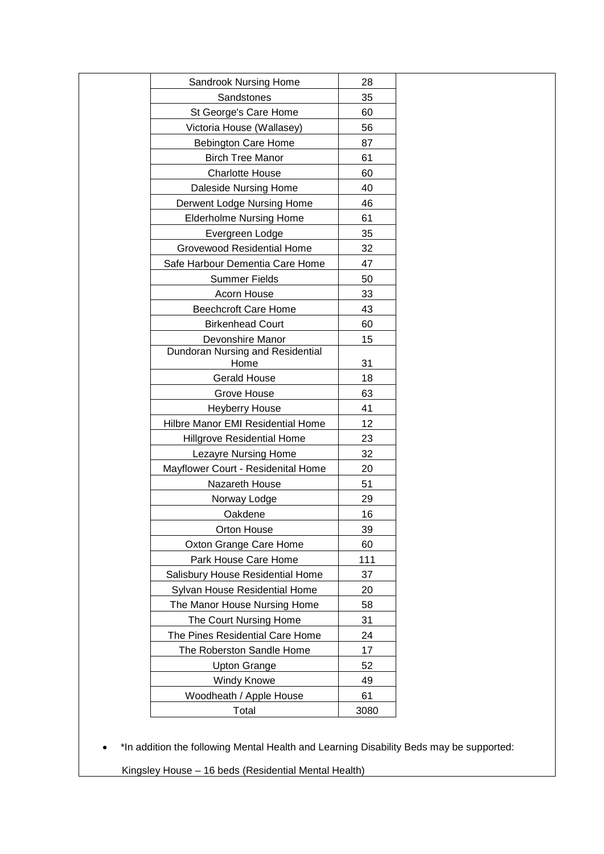| Sandrook Nursing Home<br>28<br>Sandstones<br>35<br>St George's Care Home<br>60<br>Victoria House (Wallasey)<br>56<br><b>Bebington Care Home</b><br>87<br><b>Birch Tree Manor</b><br>61<br><b>Charlotte House</b><br>60<br>Daleside Nursing Home<br>40<br>Derwent Lodge Nursing Home<br>46<br><b>Elderholme Nursing Home</b><br>61<br>35<br>Evergreen Lodge<br><b>Grovewood Residential Home</b><br>32<br>47<br>Safe Harbour Dementia Care Home<br><b>Summer Fields</b><br>50<br>Acorn House<br>33<br><b>Beechcroft Care Home</b><br>43<br><b>Birkenhead Court</b><br>60<br>Devonshire Manor<br>15<br>Dundoran Nursing and Residential<br>Home<br>31<br><b>Gerald House</b><br>18<br>Grove House<br>63<br><b>Heyberry House</b><br>41<br>Hilbre Manor EMI Residential Home<br>12<br><b>Hillgrove Residential Home</b><br>23<br>Lezayre Nursing Home<br>32<br>Mayflower Court - Residenital Home<br>20<br>Nazareth House<br>51<br>29<br>Norway Lodge<br>Oakdene<br>16<br>Orton House<br>39<br>Oxton Grange Care Home<br>60<br>Park House Care Home<br>111<br>Salisbury House Residential Home<br>37<br>Sylvan House Residential Home<br>20<br>The Manor House Nursing Home<br>58<br>The Court Nursing Home<br>31<br>The Pines Residential Care Home<br>24<br>The Roberston Sandle Home<br>17<br><b>Upton Grange</b><br>52<br><b>Windy Knowe</b><br>49<br>Woodheath / Apple House<br>61<br>Total<br>3080 |  |
|-------------------------------------------------------------------------------------------------------------------------------------------------------------------------------------------------------------------------------------------------------------------------------------------------------------------------------------------------------------------------------------------------------------------------------------------------------------------------------------------------------------------------------------------------------------------------------------------------------------------------------------------------------------------------------------------------------------------------------------------------------------------------------------------------------------------------------------------------------------------------------------------------------------------------------------------------------------------------------------------------------------------------------------------------------------------------------------------------------------------------------------------------------------------------------------------------------------------------------------------------------------------------------------------------------------------------------------------------------------------------------------------------------|--|
|                                                                                                                                                                                                                                                                                                                                                                                                                                                                                                                                                                                                                                                                                                                                                                                                                                                                                                                                                                                                                                                                                                                                                                                                                                                                                                                                                                                                       |  |
|                                                                                                                                                                                                                                                                                                                                                                                                                                                                                                                                                                                                                                                                                                                                                                                                                                                                                                                                                                                                                                                                                                                                                                                                                                                                                                                                                                                                       |  |
|                                                                                                                                                                                                                                                                                                                                                                                                                                                                                                                                                                                                                                                                                                                                                                                                                                                                                                                                                                                                                                                                                                                                                                                                                                                                                                                                                                                                       |  |
|                                                                                                                                                                                                                                                                                                                                                                                                                                                                                                                                                                                                                                                                                                                                                                                                                                                                                                                                                                                                                                                                                                                                                                                                                                                                                                                                                                                                       |  |
|                                                                                                                                                                                                                                                                                                                                                                                                                                                                                                                                                                                                                                                                                                                                                                                                                                                                                                                                                                                                                                                                                                                                                                                                                                                                                                                                                                                                       |  |
|                                                                                                                                                                                                                                                                                                                                                                                                                                                                                                                                                                                                                                                                                                                                                                                                                                                                                                                                                                                                                                                                                                                                                                                                                                                                                                                                                                                                       |  |
|                                                                                                                                                                                                                                                                                                                                                                                                                                                                                                                                                                                                                                                                                                                                                                                                                                                                                                                                                                                                                                                                                                                                                                                                                                                                                                                                                                                                       |  |
|                                                                                                                                                                                                                                                                                                                                                                                                                                                                                                                                                                                                                                                                                                                                                                                                                                                                                                                                                                                                                                                                                                                                                                                                                                                                                                                                                                                                       |  |
|                                                                                                                                                                                                                                                                                                                                                                                                                                                                                                                                                                                                                                                                                                                                                                                                                                                                                                                                                                                                                                                                                                                                                                                                                                                                                                                                                                                                       |  |
|                                                                                                                                                                                                                                                                                                                                                                                                                                                                                                                                                                                                                                                                                                                                                                                                                                                                                                                                                                                                                                                                                                                                                                                                                                                                                                                                                                                                       |  |
|                                                                                                                                                                                                                                                                                                                                                                                                                                                                                                                                                                                                                                                                                                                                                                                                                                                                                                                                                                                                                                                                                                                                                                                                                                                                                                                                                                                                       |  |
|                                                                                                                                                                                                                                                                                                                                                                                                                                                                                                                                                                                                                                                                                                                                                                                                                                                                                                                                                                                                                                                                                                                                                                                                                                                                                                                                                                                                       |  |
|                                                                                                                                                                                                                                                                                                                                                                                                                                                                                                                                                                                                                                                                                                                                                                                                                                                                                                                                                                                                                                                                                                                                                                                                                                                                                                                                                                                                       |  |
|                                                                                                                                                                                                                                                                                                                                                                                                                                                                                                                                                                                                                                                                                                                                                                                                                                                                                                                                                                                                                                                                                                                                                                                                                                                                                                                                                                                                       |  |
|                                                                                                                                                                                                                                                                                                                                                                                                                                                                                                                                                                                                                                                                                                                                                                                                                                                                                                                                                                                                                                                                                                                                                                                                                                                                                                                                                                                                       |  |
|                                                                                                                                                                                                                                                                                                                                                                                                                                                                                                                                                                                                                                                                                                                                                                                                                                                                                                                                                                                                                                                                                                                                                                                                                                                                                                                                                                                                       |  |
|                                                                                                                                                                                                                                                                                                                                                                                                                                                                                                                                                                                                                                                                                                                                                                                                                                                                                                                                                                                                                                                                                                                                                                                                                                                                                                                                                                                                       |  |
|                                                                                                                                                                                                                                                                                                                                                                                                                                                                                                                                                                                                                                                                                                                                                                                                                                                                                                                                                                                                                                                                                                                                                                                                                                                                                                                                                                                                       |  |
|                                                                                                                                                                                                                                                                                                                                                                                                                                                                                                                                                                                                                                                                                                                                                                                                                                                                                                                                                                                                                                                                                                                                                                                                                                                                                                                                                                                                       |  |
|                                                                                                                                                                                                                                                                                                                                                                                                                                                                                                                                                                                                                                                                                                                                                                                                                                                                                                                                                                                                                                                                                                                                                                                                                                                                                                                                                                                                       |  |
|                                                                                                                                                                                                                                                                                                                                                                                                                                                                                                                                                                                                                                                                                                                                                                                                                                                                                                                                                                                                                                                                                                                                                                                                                                                                                                                                                                                                       |  |
|                                                                                                                                                                                                                                                                                                                                                                                                                                                                                                                                                                                                                                                                                                                                                                                                                                                                                                                                                                                                                                                                                                                                                                                                                                                                                                                                                                                                       |  |
|                                                                                                                                                                                                                                                                                                                                                                                                                                                                                                                                                                                                                                                                                                                                                                                                                                                                                                                                                                                                                                                                                                                                                                                                                                                                                                                                                                                                       |  |
|                                                                                                                                                                                                                                                                                                                                                                                                                                                                                                                                                                                                                                                                                                                                                                                                                                                                                                                                                                                                                                                                                                                                                                                                                                                                                                                                                                                                       |  |
|                                                                                                                                                                                                                                                                                                                                                                                                                                                                                                                                                                                                                                                                                                                                                                                                                                                                                                                                                                                                                                                                                                                                                                                                                                                                                                                                                                                                       |  |
|                                                                                                                                                                                                                                                                                                                                                                                                                                                                                                                                                                                                                                                                                                                                                                                                                                                                                                                                                                                                                                                                                                                                                                                                                                                                                                                                                                                                       |  |
|                                                                                                                                                                                                                                                                                                                                                                                                                                                                                                                                                                                                                                                                                                                                                                                                                                                                                                                                                                                                                                                                                                                                                                                                                                                                                                                                                                                                       |  |
|                                                                                                                                                                                                                                                                                                                                                                                                                                                                                                                                                                                                                                                                                                                                                                                                                                                                                                                                                                                                                                                                                                                                                                                                                                                                                                                                                                                                       |  |
|                                                                                                                                                                                                                                                                                                                                                                                                                                                                                                                                                                                                                                                                                                                                                                                                                                                                                                                                                                                                                                                                                                                                                                                                                                                                                                                                                                                                       |  |
|                                                                                                                                                                                                                                                                                                                                                                                                                                                                                                                                                                                                                                                                                                                                                                                                                                                                                                                                                                                                                                                                                                                                                                                                                                                                                                                                                                                                       |  |
|                                                                                                                                                                                                                                                                                                                                                                                                                                                                                                                                                                                                                                                                                                                                                                                                                                                                                                                                                                                                                                                                                                                                                                                                                                                                                                                                                                                                       |  |
|                                                                                                                                                                                                                                                                                                                                                                                                                                                                                                                                                                                                                                                                                                                                                                                                                                                                                                                                                                                                                                                                                                                                                                                                                                                                                                                                                                                                       |  |
|                                                                                                                                                                                                                                                                                                                                                                                                                                                                                                                                                                                                                                                                                                                                                                                                                                                                                                                                                                                                                                                                                                                                                                                                                                                                                                                                                                                                       |  |
|                                                                                                                                                                                                                                                                                                                                                                                                                                                                                                                                                                                                                                                                                                                                                                                                                                                                                                                                                                                                                                                                                                                                                                                                                                                                                                                                                                                                       |  |
|                                                                                                                                                                                                                                                                                                                                                                                                                                                                                                                                                                                                                                                                                                                                                                                                                                                                                                                                                                                                                                                                                                                                                                                                                                                                                                                                                                                                       |  |
|                                                                                                                                                                                                                                                                                                                                                                                                                                                                                                                                                                                                                                                                                                                                                                                                                                                                                                                                                                                                                                                                                                                                                                                                                                                                                                                                                                                                       |  |
|                                                                                                                                                                                                                                                                                                                                                                                                                                                                                                                                                                                                                                                                                                                                                                                                                                                                                                                                                                                                                                                                                                                                                                                                                                                                                                                                                                                                       |  |
|                                                                                                                                                                                                                                                                                                                                                                                                                                                                                                                                                                                                                                                                                                                                                                                                                                                                                                                                                                                                                                                                                                                                                                                                                                                                                                                                                                                                       |  |
|                                                                                                                                                                                                                                                                                                                                                                                                                                                                                                                                                                                                                                                                                                                                                                                                                                                                                                                                                                                                                                                                                                                                                                                                                                                                                                                                                                                                       |  |
|                                                                                                                                                                                                                                                                                                                                                                                                                                                                                                                                                                                                                                                                                                                                                                                                                                                                                                                                                                                                                                                                                                                                                                                                                                                                                                                                                                                                       |  |
|                                                                                                                                                                                                                                                                                                                                                                                                                                                                                                                                                                                                                                                                                                                                                                                                                                                                                                                                                                                                                                                                                                                                                                                                                                                                                                                                                                                                       |  |
|                                                                                                                                                                                                                                                                                                                                                                                                                                                                                                                                                                                                                                                                                                                                                                                                                                                                                                                                                                                                                                                                                                                                                                                                                                                                                                                                                                                                       |  |
|                                                                                                                                                                                                                                                                                                                                                                                                                                                                                                                                                                                                                                                                                                                                                                                                                                                                                                                                                                                                                                                                                                                                                                                                                                                                                                                                                                                                       |  |
|                                                                                                                                                                                                                                                                                                                                                                                                                                                                                                                                                                                                                                                                                                                                                                                                                                                                                                                                                                                                                                                                                                                                                                                                                                                                                                                                                                                                       |  |

• \*In addition the following Mental Health and Learning Disability Beds may be supported:

Kingsley House – 16 beds (Residential Mental Health)